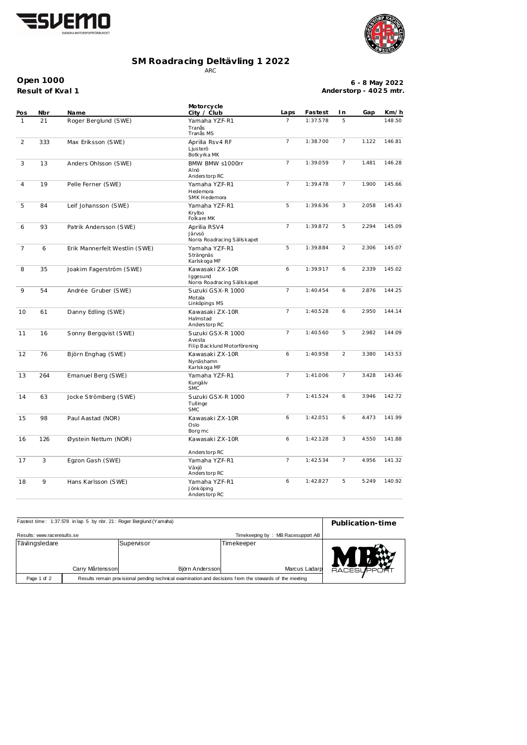



## **SM Roadracing Deltävling 1 2022** ARC

**Open 1000**

**Result of Kval 1**

**6 - 8 May 2022 Anderstorp - 402 5 mtr.**

| Pos          | Nbr | Na me                         | Motorcycle<br>City / Club                                   | Laps                       | Fastest  | I n            | Gap   | Km/h   |
|--------------|-----|-------------------------------|-------------------------------------------------------------|----------------------------|----------|----------------|-------|--------|
| $\mathbf{1}$ | 21  | Roger Berglund (SWE)          | Yamaha YZF-R1<br>Tranås<br>Tranås MS                        | $\overline{7}$             | 1:37.578 | 5              |       | 148.50 |
| 2            | 333 | Max Eriksson (SWE)            | Aprilia Rsv4 RF<br>Ljusterö<br>Botkyrka MK                  | $\overline{7}$<br>1:38.700 |          | $\overline{7}$ | 1.122 | 146.81 |
| 3            | 13  | Anders Ohlsson (SWE)          | BMW BMW s1000rr<br>Alnö<br>Anderstorp RC                    | $\overline{7}$             | 1:39.059 | $\overline{7}$ | 1.481 | 146.28 |
| 4            | 19  | Pelle Ferner (SWE)            | Yamaha YZF-R1<br>Hedemora<br>SMK Hedemora                   | $\overline{7}$             | 1:39.478 | $\overline{7}$ | 1.900 | 145.66 |
| 5            | 84  | Leif Johansson (SWE)          | Yamaha YZF-R1<br>Krylbo<br>Folkare MK                       | 5                          | 1:39.636 | 3              | 2.058 | 145.43 |
| 6            | 93  | Patrik Andersson (SWE)        | Aprilia RSV4<br>Järvsö<br>Norra Roadracing Sällskapet       | $\overline{7}$             | 1:39.872 | 5              | 2.294 | 145.09 |
| 7            | 6   | Erik Mannerfelt Westlin (SWE) | Yamaha YZF-R1<br>Strängnäs<br>Karlskoga MF                  | 5                          | 1:39.884 | 2              | 2.306 | 145.07 |
| 8            | 35  | Joakim Fagerström (SWE)       | Kawasaki ZX-10R<br>Iggesund<br>Norra Roadracing Sällskapet  | 6                          | 1:39.917 | 6              | 2.339 | 145.02 |
| 9            | 54  | Andrée Gruber (SWE)           | Suzuki GSX-R 1000<br>Motala<br>Linköpings MS                | $\overline{7}$             | 1:40.454 | 6              | 2.876 | 144.25 |
| 10           | 61  | Danny Edling (SWE)            | Kawasaki ZX-10R<br>Halmstad<br>Anderstorp RC                | $\overline{7}$             | 1:40.528 | 6              | 2.950 | 144.14 |
| 11           | 16  | Sonny Bergqvist (SWE)         | Suzuki GSX-R 1000<br>Avesta<br>Filip Backlund Motorförening | $\overline{7}$             | 1:40.560 | 5              | 2.982 | 144.09 |
| 12           | 76  | Björn Enghag (SWE)            | Kawasaki ZX-10R<br>Nynäshamn<br>Karlskoga MF                | 6                          | 1:40.958 | $\overline{2}$ | 3.380 | 143.53 |
| 13           | 264 | Emanuel Berg (SWE)            | Yamaha YZF-R1<br>Kungälv<br><b>SMC</b>                      | $\overline{7}$             | 1:41.006 | 7              | 3.428 | 143.46 |
| 14           | 63  | Jocke Strömberg (SWE)         | Suzuki GSX-R 1000<br>Tullinge<br><b>SMC</b>                 | $\overline{7}$             | 1:41.524 | 6              | 3.946 | 142.72 |
| 15           | 98  | Paul Aastad (NOR)             | Kawasaki ZX-10R<br>Oslo<br>Borg mc                          | 6                          | 1:42.051 | 6              | 4.473 | 141.99 |
| 16           | 126 | Øystein Nettum (NOR)          | Kawasaki ZX-10R<br>Anderstorp RC                            | 6                          | 1:42.128 | 3              | 4.550 | 141.88 |
| 17           | 3   | Egzon Gash (SWE)              | Yamaha YZF-R1<br>Växjö<br>Anderstorp RC                     | $\overline{7}$             | 1:42.534 | $\overline{7}$ | 4.956 | 141.32 |
| 18           | 9   | Hans Karlsson (SWE)           | Yamaha YZF-R1<br>Jönköping<br>Anderstorp RC                 | 6                          | 1:42.827 | 5              | 5.249 | 140.92 |

| Fastest time: 1:37.578 in lap 5 by nbr. 21: Roger Berglund (Yamaha) | Publication-time                                                                                        |                               |                             |                    |
|---------------------------------------------------------------------|---------------------------------------------------------------------------------------------------------|-------------------------------|-----------------------------|--------------------|
| Results: www.raceresults.se                                         |                                                                                                         |                               |                             |                    |
| Tävlingsledare                                                      | Carry Mårtensson                                                                                        | Supervisor<br>Björn Andersson | Timekeeper<br>Marcus Ladarp | <b>RACESUPPORT</b> |
| Page 1 of 2                                                         | Results remain provisional pending technical examination and decisions from the stewards of the meeting |                               |                             |                    |